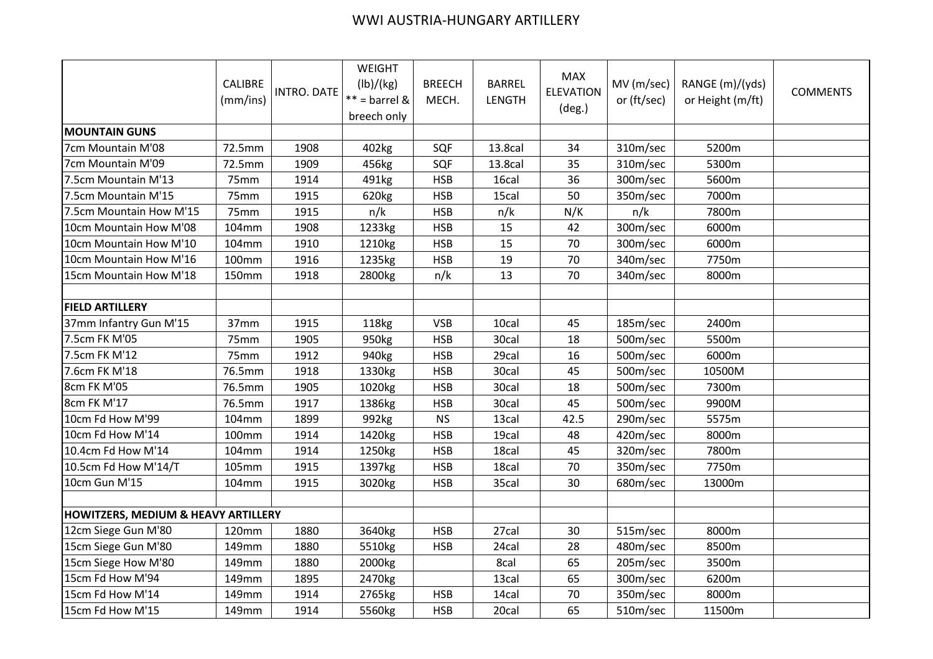## WWI AUSTRIA-HUNGARY ARTILLERY

|                                                | <b>CALIBRE</b><br>(mm/ins) | <b>INTRO. DATE</b> | WEIGHT<br>(lb)/(kg)<br>$** =$ barrel &<br>breech only | <b>BREECH</b><br>MECH. | <b>BARREL</b><br>LENGTH | <b>MAX</b><br><b>ELEVATION</b><br>$(\text{deg.})$ | MV (m/sec)<br>or (ft/sec) | RANGE (m)/(yds)<br>or Height (m/ft) | <b>COMMENTS</b> |
|------------------------------------------------|----------------------------|--------------------|-------------------------------------------------------|------------------------|-------------------------|---------------------------------------------------|---------------------------|-------------------------------------|-----------------|
| <b>MOUNTAIN GUNS</b>                           |                            |                    |                                                       |                        |                         |                                                   |                           |                                     |                 |
| 7cm Mountain M'08                              | 72.5mm                     | 1908               | 402kg                                                 | SQF                    | 13.8cal                 | 34                                                | 310m/sec                  | 5200m                               |                 |
| 7cm Mountain M'09                              | 72.5mm                     | 1909               | 456kg                                                 | SQF                    | 13.8cal                 | 35                                                | 310m/sec                  | 5300m                               |                 |
| 7.5cm Mountain M'13                            | 75mm                       | 1914               | 491kg                                                 | <b>HSB</b>             | 16cal                   | 36                                                | 300m/sec                  | 5600m                               |                 |
| 7.5cm Mountain M'15                            | 75mm                       | 1915               | 620kg                                                 | <b>HSB</b>             | 15cal                   | 50                                                | 350m/sec                  | 7000m                               |                 |
| 7.5cm Mountain How M'15                        | 75mm                       | 1915               | n/k                                                   | <b>HSB</b>             | n/k                     | N/K                                               | n/k                       | 7800m                               |                 |
| 10cm Mountain How M'08                         | 104mm                      | 1908               | 1233kg                                                | <b>HSB</b>             | 15                      | 42                                                | 300m/sec                  | 6000m                               |                 |
| 10cm Mountain How M'10                         | 104mm                      | 1910               | 1210kg                                                | <b>HSB</b>             | 15                      | 70                                                | 300m/sec                  | 6000m                               |                 |
| 10cm Mountain How M'16                         | 100mm                      | 1916               | 1235kg                                                | <b>HSB</b>             | 19                      | 70                                                | 340m/sec                  | 7750m                               |                 |
| 15cm Mountain How M'18                         | 150mm                      | 1918               | 2800kg                                                | n/k                    | 13                      | 70                                                | 340m/sec                  | 8000m                               |                 |
|                                                |                            |                    |                                                       |                        |                         |                                                   |                           |                                     |                 |
| <b>FIELD ARTILLERY</b>                         |                            |                    |                                                       |                        |                         |                                                   |                           |                                     |                 |
| 37mm Infantry Gun M'15                         | 37mm                       | 1915               | 118kg                                                 | <b>VSB</b>             | 10cal                   | 45                                                | 185m/sec                  | 2400m                               |                 |
| 7.5cm FK M'05                                  | 75mm                       | 1905               | 950kg                                                 | <b>HSB</b>             | 30cal                   | 18                                                | 500m/sec                  | 5500m                               |                 |
| 7.5cm FK M'12                                  | 75mm                       | 1912               | 940kg                                                 | <b>HSB</b>             | 29cal                   | 16                                                | 500m/sec                  | 6000m                               |                 |
| 7.6cm FK M'18                                  | 76.5mm                     | 1918               | 1330kg                                                | <b>HSB</b>             | 30cal                   | 45                                                | 500m/sec                  | 10500M                              |                 |
| 8cm FK M'05                                    | 76.5mm                     | 1905               | 1020kg                                                | <b>HSB</b>             | 30cal                   | 18                                                | 500m/sec                  | 7300m                               |                 |
| 8cm FK M'17                                    | 76.5mm                     | 1917               | 1386kg                                                | <b>HSB</b>             | 30cal                   | 45                                                | 500m/sec                  | 9900M                               |                 |
| 10cm Fd How M'99                               | 104mm                      | 1899               | 992kg                                                 | <b>NS</b>              | 13cal                   | 42.5                                              | 290m/sec                  | 5575m                               |                 |
| 10cm Fd How M'14                               | 100mm                      | 1914               | 1420kg                                                | <b>HSB</b>             | 19cal                   | 48                                                | 420m/sec                  | 8000m                               |                 |
| 10.4cm Fd How M'14                             | 104mm                      | 1914               | 1250kg                                                | <b>HSB</b>             | 18cal                   | 45                                                | 320m/sec                  | 7800m                               |                 |
| 10.5cm Fd How M'14/T                           | 105mm                      | 1915               | 1397kg                                                | <b>HSB</b>             | 18cal                   | 70                                                | 350m/sec                  | 7750m                               |                 |
| 10cm Gun M'15                                  | 104mm                      | 1915               | 3020kg                                                | <b>HSB</b>             | 35cal                   | 30                                                | 680m/sec                  | 13000m                              |                 |
| <b>HOWITZERS, MEDIUM &amp; HEAVY ARTILLERY</b> |                            |                    |                                                       |                        |                         |                                                   |                           |                                     |                 |
| 12cm Siege Gun M'80                            | 120mm                      | 1880               | 3640kg                                                | <b>HSB</b>             | 27cal                   | 30                                                | 515m/sec                  | 8000m                               |                 |
| 15cm Siege Gun M'80                            | 149mm                      | 1880               | 5510kg                                                | <b>HSB</b>             | 24cal                   | 28                                                | 480m/sec                  | 8500m                               |                 |
| 15cm Siege How M'80                            | 149mm                      | 1880               | 2000kg                                                |                        | 8cal                    | 65                                                | 205m/sec                  | 3500m                               |                 |
| 15cm Fd How M'94                               | 149mm                      | 1895               | 2470kg                                                |                        | 13cal                   | 65                                                | 300m/sec                  | 6200m                               |                 |
| 15cm Fd How M'14                               | 149mm                      | 1914               | 2765kg                                                | <b>HSB</b>             | 14cal                   | 70                                                | 350m/sec                  | 8000m                               |                 |
| 15cm Fd How M'15                               | 149mm                      | 1914               | 5560kg                                                | <b>HSB</b>             | 20cal                   | 65                                                | 510m/sec                  | 11500m                              |                 |